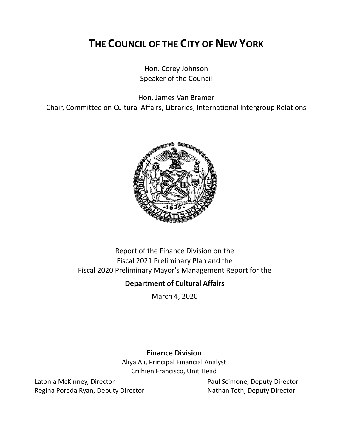# **THE COUNCIL OF THE CITY OF NEW YORK**

Hon. Corey Johnson Speaker of the Council

Hon. James Van Bramer

Chair, Committee on Cultural Affairs, Libraries, International Intergroup Relations



Report of the Finance Division on the Fiscal 2021 Preliminary Plan and the Fiscal 2020 Preliminary Mayor's Management Report for the

# **Department of Cultural Affairs**

March 4, 2020

**Finance Division** Aliya Ali, Principal Financial Analyst Crilhien Francisco, Unit Head

Latonia McKinney, Director **Paul Scimone, Deputy Director** Regina Poreda Ryan, Deputy Director Nathan Toth, Deputy Director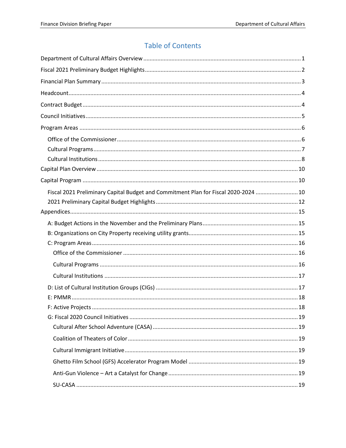# **Table of Contents**

| Fiscal 2021 Preliminary Capital Budget and Commitment Plan for Fiscal 2020-2024  10 |  |
|-------------------------------------------------------------------------------------|--|
|                                                                                     |  |
|                                                                                     |  |
|                                                                                     |  |
|                                                                                     |  |
|                                                                                     |  |
|                                                                                     |  |
|                                                                                     |  |
|                                                                                     |  |
|                                                                                     |  |
|                                                                                     |  |
| 18<br><b>F: Active Projects</b>                                                     |  |
|                                                                                     |  |
|                                                                                     |  |
|                                                                                     |  |
|                                                                                     |  |
|                                                                                     |  |
|                                                                                     |  |
|                                                                                     |  |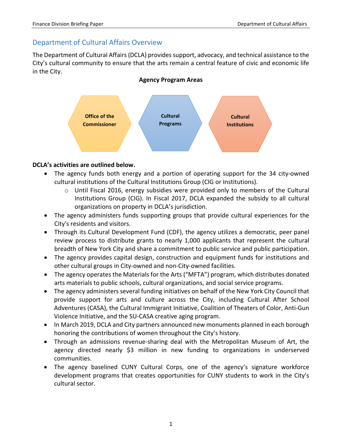# <span id="page-2-0"></span>Department of Cultural Affairs Overview

The Department of Cultural Affairs (DCLA) provides support, advocacy, and technical assistance to the City's cultural community to ensure that the arts remain a central feature of civic and economic life in the City.

### **Agency Program Areas**



### **DCLA's activities are outlined below.**

- The agency funds both energy and a portion of operating support for the 34 city-owned cultural institutions of the Cultural Institutions Group (CIG or Institutions).
	- $\circ$  Until Fiscal 2016, energy subsidies were provided only to members of the Cultural Institutions Group (CIG). In Fiscal 2017, DCLA expanded the subsidy to all cultural organizations on property in DCLA's jurisdiction.
- The agency administers funds supporting groups that provide cultural experiences for the City's residents and visitors.
- Through its Cultural Development Fund (CDF), the agency utilizes a democratic, peer panel review process to distribute grants to nearly 1,000 applicants that represent the cultural breadth of New York City and share a commitment to public service and public participation.
- The agency provides capital design, construction and equipment funds for institutions and other cultural groups in City-owned and non-City-owned facilities.
- The agency operates the Materials for the Arts ("MFTA") program, which distributes donated arts materials to public schools, cultural organizations, and social service programs.
- The agency administers several funding initiatives on behalf of the New York City Council that provide support for arts and culture across the City, including Cultural After School Adventures (CASA), the Cultural Immigrant Initiative, Coalition of Theaters of Color, Anti-Gun Violence Initiative, and the SU-CASA creative aging program.
- In March 2019, DCLA and City partners announced new monuments planned in each borough honoring the contributions of women throughout the City's history.
- Through an admissions revenue-sharing deal with the Metropolitan Museum of Art, the agency directed nearly \$3 million in new funding to organizations in underserved communities.
- The agency baselined CUNY Cultural Corps, one of the agency's signature workforce development programs that creates opportunities for CUNY students to work in the City's cultural sector.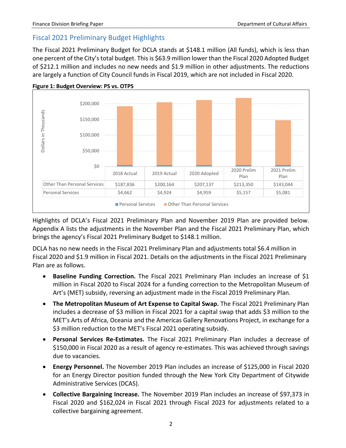# <span id="page-3-0"></span>Fiscal 2021 Preliminary Budget Highlights

The Fiscal 2021 Preliminary Budget for DCLA stands at \$148.1 million (All funds), which is less than one percent of the City's total budget. This is \$63.9 million lower than the Fiscal 2020 Adopted Budget of \$212.1 million and includes no new needs and \$1.9 million in other adjustments. The reductions are largely a function of City Council funds in Fiscal 2019, which are not included in Fiscal 2020.





Highlights of DCLA's Fiscal 2021 Preliminary Plan and November 2019 Plan are provided below. Appendix A lists the adjustments in the November Plan and the Fiscal 2021 Preliminary Plan, which brings the agency's Fiscal 2021 Preliminary Budget to \$148.1 million.

DCLA has no new needs in the Fiscal 2021 Preliminary Plan and adjustments total \$6.4 million in Fiscal 2020 and \$1.9 million in Fiscal 2021. Details on the adjustments in the Fiscal 2021 Preliminary Plan are as follows.

- **Baseline Funding Correction.** The Fiscal 2021 Preliminary Plan includes an increase of \$1 million in Fiscal 2020 to Fiscal 2024 for a funding correction to the Metropolitan Museum of Art's (MET) subsidy, reversing an adjustment made in the Fiscal 2019 Preliminary Plan.
- **The Metropolitan Museum of Art Expense to Capital Swap.** The Fiscal 2021 Preliminary Plan includes a decrease of \$3 million in Fiscal 2021 for a capital swap that adds \$3 million to the MET's Arts of Africa, Oceania and the Americas Gallery Renovations Project, in exchange for a \$3 million reduction to the MET's Fiscal 2021 operating subsidy.
- **Personal Services Re-Estimates.** The Fiscal 2021 Preliminary Plan includes a decrease of \$150,000 in Fiscal 2020 as a result of agency re-estimates. This was achieved through savings due to vacancies.
- **Energy Personnel.** The November 2019 Plan includes an increase of \$125,000 in Fiscal 2020 for an Energy Director position funded through the New York City Department of Citywide Administrative Services (DCAS).
- **Collective Bargaining Increase.** The November 2019 Plan includes an increase of \$97,373 in Fiscal 2020 and \$162,024 in Fiscal 2021 through Fiscal 2023 for adjustments related to a collective bargaining agreement.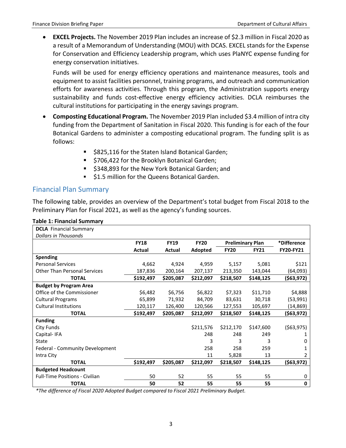• **EXCEL Projects.** The November 2019 Plan includes an increase of \$2.3 million in Fiscal 2020 as a result of a Memorandum of Understanding (MOU) with DCAS. EXCEL stands for the Expense for Conservation and Efficiency Leadership program, which uses PlaNYC expense funding for energy conservation initiatives.

Funds will be used for energy efficiency operations and maintenance measures, tools and equipment to assist facilities personnel, training programs, and outreach and communication efforts for awareness activities. Through this program, the Administration supports energy sustainability and funds cost-effective energy efficiency activities. DCLA reimburses the cultural institutions for participating in the energy savings program.

- **Composting Educational Program.** The November 2019 Plan included \$3.4 million of intra city funding from the Department of Sanitation in Fiscal 2020. This funding is for each of the four Botanical Gardens to administer a composting educational program. The funding split is as follows:
	- **5825,116 for the Staten Island Botanical Garden;**
	- **5706,422 for the Brooklyn Botanical Garden;**
	- \$348,893 for the New York Botanical Garden; and
	- **51.5 million for the Queens Botanical Garden.**

## <span id="page-4-0"></span>Financial Plan Summary

The following table, provides an overview of the Department's total budget from Fiscal 2018 to the Preliminary Plan for Fiscal 2021, as well as the agency's funding sources.

| <b>DCLA</b> Financial Summary         |             |             |             |                         |             |              |
|---------------------------------------|-------------|-------------|-------------|-------------------------|-------------|--------------|
| <b>Dollars in Thousands</b>           |             |             |             |                         |             |              |
|                                       | <b>FY18</b> | <b>FY19</b> | <b>FY20</b> | <b>Preliminary Plan</b> |             | *Difference  |
|                                       | Actual      | Actual      | Adopted     | <b>FY20</b>             | <b>FY21</b> | FY20-FY21    |
| <b>Spending</b>                       |             |             |             |                         |             |              |
| <b>Personal Services</b>              | 4,662       | 4,924       | 4,959       | 5,157                   | 5,081       | \$121        |
| <b>Other Than Personal Services</b>   | 187,836     | 200,164     | 207,137     | 213,350                 | 143,044     | (64, 093)    |
| <b>TOTAL</b>                          | \$192,497   | \$205,087   | \$212,097   | \$218,507               | \$148,125   | (\$63,972)   |
| <b>Budget by Program Area</b>         |             |             |             |                         |             |              |
| Office of the Commissioner            | \$6,482     | \$6,756     | \$6,822     | \$7,323                 | \$11,710    | \$4,888      |
| <b>Cultural Programs</b>              | 65,899      | 71,932      | 84,709      | 83,631                  | 30,718      | (53,991)     |
| <b>Cultural Institutions</b>          | 120,117     | 126,400     | 120,566     | 127,553                 | 105,697     | (14, 869)    |
| <b>TOTAL</b>                          | \$192,497   | \$205,087   | \$212,097   | \$218,507               | \$148,125   | (\$63,972)   |
| <b>Funding</b>                        |             |             |             |                         |             |              |
| City Funds                            |             |             | \$211,576   | \$212,170               | \$147,600   | ( \$63, 975) |
| Capital-IFA                           |             |             | 248         | 248                     | 249         |              |
| State                                 |             |             | 3           | 3                       | 3           | 0            |
| Federal - Community Development       |             |             | 258         | 258                     | 259         |              |
| Intra City                            |             |             | 11          | 5,828                   | 13          | 2            |
| <b>TOTAL</b>                          | \$192,497   | \$205,087   | \$212,097   | \$218,507               | \$148,125   | (\$63,972)   |
| <b>Budgeted Headcount</b>             |             |             |             |                         |             |              |
| <b>Full-Time Positions - Civilian</b> | 50          | 52          | 55          | 55                      | 55          | 0            |
| <b>TOTAL</b>                          | 50          | 52          | 55          | 55                      | 55          | $\mathbf 0$  |

*\*The difference of Fiscal 2020 Adopted Budget compared to Fiscal 2021 Preliminary Budget.*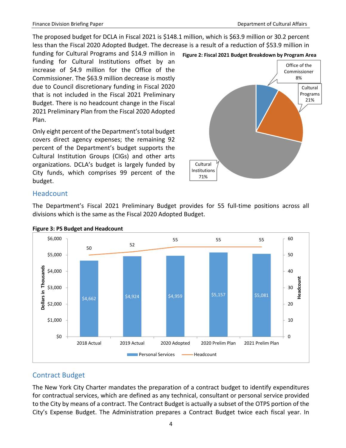The proposed budget for DCLA in Fiscal 2021 is \$148.1 million, which is \$63.9 million or 30.2 percent less than the Fiscal 2020 Adopted Budget. The decrease is a result of a reduction of \$53.9 million in

funding for Cultural Programs and \$14.9 million in funding for Cultural Institutions offset by an increase of \$4.9 million for the Office of the Commissioner. The \$63.9 million decrease is mostly due to Council discretionary funding in Fiscal 2020 that is not included in the Fiscal 2021 Preliminary Budget. There is no headcount change in the Fiscal 2021 Preliminary Plan from the Fiscal 2020 Adopted Plan.

Only eight percent of the Department's total budget covers direct agency expenses; the remaining 92 percent of the Department's budget supports the Cultural Institution Groups (CIGs) and other arts organizations. DCLA's budget is largely funded by City funds, which comprises 99 percent of the budget.



### <span id="page-5-0"></span>**Headcount**

The Department's Fiscal 2021 Preliminary Budget provides for 55 full-time positions across all divisions which is the same as the Fiscal 2020 Adopted Budget.



**Figure 3: PS Budget and Headcount**

# <span id="page-5-1"></span>Contract Budget

The New York City Charter mandates the preparation of a contract budget to identify expenditures for contractual services, which are defined as any technical, consultant or personal service provided to the City by means of a contract. The Contract Budget is actually a subset of the OTPS portion of the City's Expense Budget. The Administration prepares a Contract Budget twice each fiscal year. In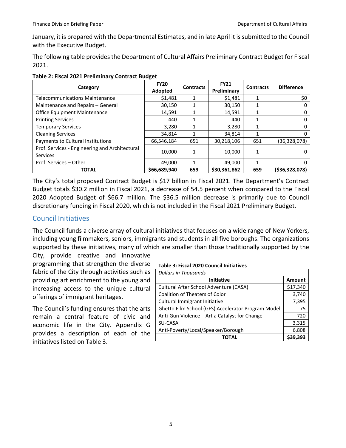January, it is prepared with the Departmental Estimates, and in late April it is submitted to the Council with the Executive Budget.

The following table provides the Department of Cultural Affairs Preliminary Contract Budget for Fiscal 2021.

| Category                                                   | <b>FY20</b><br>Adopted | <b>Contracts</b> | <b>FY21</b><br>Preliminary | <b>Contracts</b> | <b>Difference</b> |
|------------------------------------------------------------|------------------------|------------------|----------------------------|------------------|-------------------|
| <b>Telecommunications Maintenance</b>                      | \$1,481                |                  | \$1,481                    | 1                | \$0               |
| Maintenance and Repairs - General                          | 30,150                 |                  | 30,150                     | 1                | 0                 |
| Office Equipment Maintenance                               | 14,591                 |                  | 14,591                     |                  | 0                 |
| <b>Printing Services</b>                                   | 440                    |                  | 440                        | 1                |                   |
| <b>Temporary Services</b>                                  | 3,280                  |                  | 3,280                      | 1                | 0                 |
| <b>Cleaning Services</b>                                   | 34.814                 |                  | 34,814                     | 1                | 0                 |
| Payments to Cultural Institutions                          | 66,546,184             | 651              | 30,218,106                 | 651              | (36, 328, 078)    |
| Prof. Services - Engineering and Architectural<br>Services | 10,000                 | 1                | 10,000                     | 1                | 0                 |
| Prof. Services - Other                                     | 49,000                 | 1                | 49,000                     | 1                | 0                 |
| <b>TOTAL</b>                                               | \$66,689,940           | 659              | \$30,361,862               | 659              | (536, 328, 078)   |

#### **Table 2: Fiscal 2021 Preliminary Contract Budget**

The City's total proposed Contract Budget is \$17 billion in Fiscal 2021. The Department's Contract Budget totals \$30.2 million in Fiscal 2021, a decrease of 54.5 percent when compared to the Fiscal 2020 Adopted Budget of \$66.7 million. The \$36.5 million decrease is primarily due to Council discretionary funding in Fiscal 2020, which is not included in the Fiscal 2021 Preliminary Budget.

## <span id="page-6-0"></span>Council Initiatives

The Council funds a diverse array of cultural initiatives that focuses on a wide range of New Yorkers, including young filmmakers, seniors, immigrants and students in all five boroughs. The organizations supported by these initiatives, many of which are smaller than those traditionally supported by the City, provide creative and innovative

programming that strengthen the diverse fabric of the City through activities such as providing art enrichment to the young and increasing access to the unique cultural offerings of immigrant heritages.

The Council's funding ensures that the arts remain a central feature of civic and economic life in the City. Appendix G provides a description of each of the initiatives listed on Table 3.

#### **Table 3: Fiscal 2020 Council Initiatives**

| Dollars in Thousands                               |               |
|----------------------------------------------------|---------------|
| <b>Initiative</b>                                  | <b>Amount</b> |
| Cultural After School Adventure (CASA)             | \$17,340      |
| <b>Coalition of Theaters of Color</b>              | 3,740         |
| Cultural Immigrant Initiative                      | 7,395         |
| Ghetto Film School (GFS) Accelerator Program Model | 75            |
| Anti-Gun Violence - Art a Catalyst for Change      | 720           |
| SU-CASA                                            | 3,315         |
| Anti-Poverty/Local/Speaker/Borough                 | 6,808         |
| ΤΩΤΑΙ                                              | 39.393        |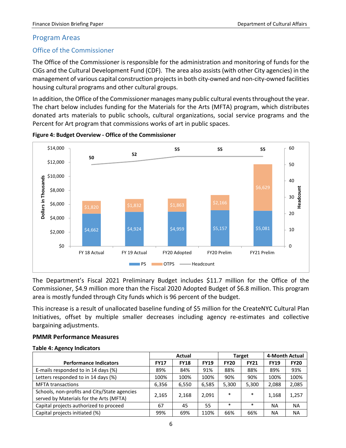### <span id="page-7-0"></span>Program Areas

### <span id="page-7-1"></span>Office of the Commissioner

The Office of the Commissioner is responsible for the administration and monitoring of funds for the CIGs and the Cultural Development Fund (CDF). The area also assists (with other City agencies) in the management of various capital construction projects in both city-owned and non-city-owned facilities housing cultural programs and other cultural groups.

In addition, the Office of the Commissioner manages many public cultural events throughout the year. The chart below includes funding for the Materials for the Arts (MFTA) program, which distributes donated arts materials to public schools, cultural organizations, social service programs and the Percent for Art program that commissions works of art in public spaces.



**Figure 4: Budget Overview - Office of the Commissioner**

The Department's Fiscal 2021 Preliminary Budget includes \$11.7 million for the Office of the Commissioner, \$4.9 million more than the Fiscal 2020 Adopted Budget of \$6.8 million. This program area is mostly funded through City funds which is 96 percent of the budget.

This increase is a result of unallocated baseline funding of \$5 million for the CreateNYC Cultural Plan Initiatives, offset by multiple smaller decreases including agency re-estimates and collective bargaining adjustments.

#### **PMMR Performance Measures**

#### **Table 4: Agency Indicators**

|                                                                                         | <b>Actual</b> |             |             |             | <b>Target</b> | 4-Month Actual |             |
|-----------------------------------------------------------------------------------------|---------------|-------------|-------------|-------------|---------------|----------------|-------------|
| <b>Performance Indicators</b>                                                           | <b>FY17</b>   | <b>FY18</b> | <b>FY19</b> | <b>FY20</b> | <b>FY21</b>   | <b>FY19</b>    | <b>FY20</b> |
| E-mails responded to in 14 days (%)                                                     | 89%           | 84%         | 91%         | 88%         | 88%           | 89%            | 93%         |
| Letters responded to in 14 days (%)                                                     | 100%          | 100%        | 100%        | 90%         | 90%           | 100%           | 100%        |
| <b>MFTA transactions</b>                                                                | 6,356         | 6,550       | 6,585       | 5,300       | 5,300         | 2,088          | 2,085       |
| Schools, non-profits and City/State agencies<br>served by Materials for the Arts (MFTA) | 2,165         | 2,168       | 2,091       | $\ast$      | $\ast$        | 1,168          | 1,257       |
| Capital projects authorized to proceed                                                  | 67            | 45          | 55          | $\ast$      | $\ast$        | <b>NA</b>      | <b>NA</b>   |
| Capital projects initiated (%)                                                          | 99%           | 69%         | 110%        | 66%         | 66%           | <b>NA</b>      | <b>NA</b>   |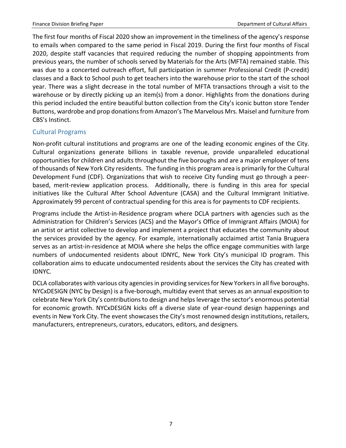The first four months of Fiscal 2020 show an improvement in the timeliness of the agency's response to emails when compared to the same period in Fiscal 2019. During the first four months of Fiscal 2020, despite staff vacancies that required reducing the number of shopping appointments from previous years, the number of schools served by Materials for the Arts (MFTA) remained stable. This was due to a concerted outreach effort, full participation in summer Professional Credit (P-credit) classes and a Back to School push to get teachers into the warehouse prior to the start of the school year. There was a slight decrease in the total number of MFTA transactions through a visit to the warehouse or by directly picking up an item(s) from a donor. Highlights from the donations during this period included the entire beautiful button collection from the City's iconic button store Tender Buttons, wardrobe and prop donations from Amazon's The Marvelous Mrs. Maisel and furniture from CBS's Instinct.

### <span id="page-8-0"></span>Cultural Programs

Non-profit cultural institutions and programs are one of the leading economic engines of the City. Cultural organizations generate billions in taxable revenue, provide unparalleled educational opportunities for children and adults throughout the five boroughs and are a major employer of tens of thousands of New York City residents. The funding in this program area is primarily for the Cultural Development Fund (CDF). Organizations that wish to receive City funding must go through a peerbased, merit-review application process. Additionally, there is funding in this area for special initiatives like the Cultural After School Adventure (CASA) and the Cultural Immigrant Initiative. Approximately 99 percent of contractual spending for this area is for payments to CDF recipients.

Programs include the Artist-in-Residence program where DCLA partners with agencies such as the Administration for Children's Services (ACS) and the Mayor's Office of Immigrant Affairs (MOIA) for an artist or artist collective to develop and implement a project that educates the community about the services provided by the agency. For example, internationally acclaimed artist Tania Bruguera serves as an artist-in-residence at MOIA where she helps the office engage communities with large numbers of undocumented residents about IDNYC, New York City's municipal ID program. This collaboration aims to educate undocumented residents about the services the City has created with IDNYC.

DCLA collaborates with various city agencies in providing services for New Yorkers in all five boroughs. NYCxDESIGN (NYC by Design) is a five-borough, multiday event that serves as an annual exposition to celebrate New York City's contributions to design and helps leverage the sector's enormous potential for economic growth. NYCxDESIGN kicks off a diverse slate of year-round design happenings and events in New York City. The event showcases the City's most renowned design institutions, retailers, manufacturers, entrepreneurs, curators, educators, editors, and designers.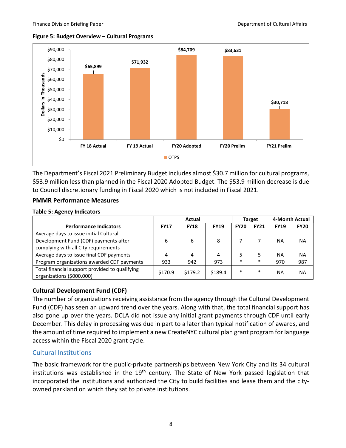#### **Figure 5: Budget Overview – Cultural Programs**



The Department's Fiscal 2021 Preliminary Budget includes almost \$30.7 million for cultural programs, \$53.9 million less than planned in the Fiscal 2020 Adopted Budget. The \$53.9 million decrease is due to Council discretionary funding in Fiscal 2020 which is not included in Fiscal 2021.

#### **PMMR Performance Measures**

#### **Table 5: Agency Indicators**

|                                                                             |             | Target      |             | 4-Month Actual |             |             |             |
|-----------------------------------------------------------------------------|-------------|-------------|-------------|----------------|-------------|-------------|-------------|
| <b>Performance Indicators</b>                                               | <b>FY17</b> | <b>FY18</b> | <b>FY19</b> | <b>FY20</b>    | <b>FY21</b> | <b>FY19</b> | <b>FY20</b> |
| Average days to issue initial Cultural                                      |             |             |             |                |             |             |             |
| Development Fund (CDF) payments after                                       | 6           | 6           | 8           |                |             | <b>NA</b>   | <b>NA</b>   |
| complying with all City requirements                                        |             |             |             |                |             |             |             |
| Average days to issue final CDF payments                                    | 4           | 4           | 4           |                |             | <b>NA</b>   | <b>NA</b>   |
| Program organizations awarded CDF payments                                  | 933         | 942         | 973         | $\ast$         | $\ast$      | 970         | 987         |
| Total financial support provided to qualifying<br>organizations (\$000,000) | \$170.9     | \$179.2     | \$189.4     | $\ast$         | $\ast$      | NA          | <b>NA</b>   |

#### **Cultural Development Fund (CDF)**

The number of organizations receiving assistance from the agency through the Cultural Development Fund (CDF) has seen an upward trend over the years. Along with that, the total financial support has also gone up over the years. DCLA did not issue any initial grant payments through CDF until early December. This delay in processing was due in part to a later than typical notification of awards, and the amount of time required to implement a new CreateNYC cultural plan grant program for language access within the Fiscal 2020 grant cycle.

#### <span id="page-9-0"></span>Cultural Institutions

The basic framework for the public-private partnerships between New York City and its 34 cultural institutions was established in the  $19<sup>th</sup>$  century. The State of New York passed legislation that incorporated the institutions and authorized the City to build facilities and lease them and the cityowned parkland on which they sat to private institutions.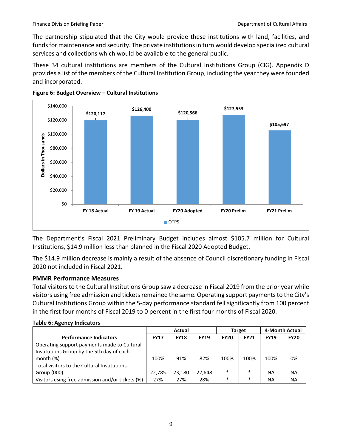The partnership stipulated that the City would provide these institutions with land, facilities, and funds for maintenance and security. The private institutions in turn would develop specialized cultural services and collections which would be available to the general public.

These 34 cultural institutions are members of the Cultural Institutions Group (CIG). Appendix D provides a list of the members of the Cultural Institution Group, including the year they were founded and incorporated.





The Department's Fiscal 2021 Preliminary Budget includes almost \$105.7 million for Cultural Institutions, \$14.9 million less than planned in the Fiscal 2020 Adopted Budget.

The \$14.9 million decrease is mainly a result of the absence of Council discretionary funding in Fiscal 2020 not included in Fiscal 2021.

#### **PMMR Performance Measures**

Total visitors to the Cultural Institutions Group saw a decrease in Fiscal 2019 from the prior year while visitors using free admission and tickets remained the same. Operating support payments to the City's Cultural Institutions Group within the 5-day performance standard fell significantly from 100 percent in the first four months of Fiscal 2019 to 0 percent in the first four months of Fiscal 2020.

|                                                                                                          | <b>Actual</b> |             |             |             | <b>Target</b> | 4-Month Actual |             |
|----------------------------------------------------------------------------------------------------------|---------------|-------------|-------------|-------------|---------------|----------------|-------------|
| <b>Performance Indicators</b>                                                                            | <b>FY17</b>   | <b>FY18</b> | <b>FY19</b> | <b>FY20</b> | <b>FY21</b>   | <b>FY19</b>    | <b>FY20</b> |
| Operating support payments made to Cultural<br>Institutions Group by the 5th day of each<br>month $(\%)$ | 100%          | 91%         | 82%         | 100%        | 100%          | 100%           | 0%          |
| Total visitors to the Cultural Institutions                                                              |               |             |             |             |               |                |             |
| Group (000)                                                                                              | 22.785        | 23.180      | 22,648      | $\ast$      | $\ast$        | ΝA             | ΝA          |
| Visitors using free admission and/or tickets (%)                                                         | 27%           | 27%         | 28%         | $\ast$      | $\ast$        | ΝA             | ΝA          |

#### **Table 6: Agency Indicators**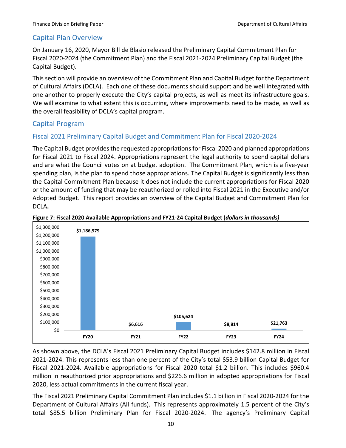### <span id="page-11-0"></span>Capital Plan Overview

On January 16, 2020, Mayor Bill de Blasio released the Preliminary Capital Commitment Plan for Fiscal 2020-2024 (the Commitment Plan) and the Fiscal 2021-2024 Preliminary Capital Budget (the Capital Budget).

This section will provide an overview of the Commitment Plan and Capital Budget for the Department of Cultural Affairs (DCLA). Each one of these documents should support and be well integrated with one another to properly execute the City's capital projects, as well as meet its infrastructure goals. We will examine to what extent this is occurring, where improvements need to be made, as well as the overall feasibility of DCLA's capital program.

## <span id="page-11-1"></span>Capital Program

### <span id="page-11-2"></span>Fiscal 2021 Preliminary Capital Budget and Commitment Plan for Fiscal 2020-2024

The Capital Budget provides the requested appropriations for Fiscal 2020 and planned appropriations for Fiscal 2021 to Fiscal 2024. Appropriations represent the legal authority to spend capital dollars and are what the Council votes on at budget adoption. The Commitment Plan, which is a five-year spending plan, is the plan to spend those appropriations. The Capital Budget is significantly less than the Capital Commitment Plan because it does not include the current appropriations for Fiscal 2020 or the amount of funding that may be reauthorized or rolled into Fiscal 2021 in the Executive and/or Adopted Budget. This report provides an overview of the Capital Budget and Commitment Plan for DCLA**.**



#### **Figure 7: Fiscal 2020 Available Appropriations and FY21-24 Capital Budget (***dollars in thousands)*

As shown above, the DCLA's Fiscal 2021 Preliminary Capital Budget includes \$142.8 million in Fiscal 2021-2024. This represents less than one percent of the City's total \$53.9 billion Capital Budget for Fiscal 2021-2024. Available appropriations for Fiscal 2020 total \$1.2 billion. This includes \$960.4 million in reauthorized prior appropriations and \$226.6 million in adopted appropriations for Fiscal 2020, less actual commitments in the current fiscal year.

The Fiscal 2021 Preliminary Capital Commitment Plan includes \$1.1 billion in Fiscal 2020-2024 for the Department of Cultural Affairs (All funds). This represents approximately 1.5 percent of the City's total \$85.5 billion Preliminary Plan for Fiscal 2020-2024. The agency's Preliminary Capital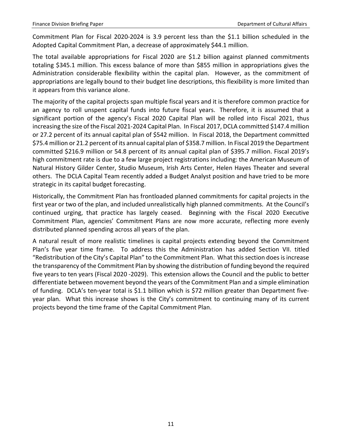Commitment Plan for Fiscal 2020-2024 is 3.9 percent less than the \$1.1 billion scheduled in the Adopted Capital Commitment Plan, a decrease of approximately \$44.1 million.

The total available appropriations for Fiscal 2020 are \$1.2 billion against planned commitments totaling \$345.1 million. This excess balance of more than \$855 million in appropriations gives the Administration considerable flexibility within the capital plan. However, as the commitment of appropriations are legally bound to their budget line descriptions, this flexibility is more limited than it appears from this variance alone.

The majority of the capital projects span multiple fiscal years and it is therefore common practice for an agency to roll unspent capital funds into future fiscal years. Therefore, it is assumed that a significant portion of the agency's Fiscal 2020 Capital Plan will be rolled into Fiscal 2021, thus increasing the size of the Fiscal 2021-2024 Capital Plan. In Fiscal 2017, DCLA committed \$147.4 million or 27.2 percent of its annual capital plan of \$542 million. In Fiscal 2018, the Department committed \$75.4 million or 21.2 percent of its annual capital plan of \$358.7 million. In Fiscal 2019 the Department committed \$216.9 million or 54.8 percent of its annual capital plan of \$395.7 million. Fiscal 2019's high commitment rate is due to a few large project registrations including: the American Museum of Natural History Gilder Center, Studio Museum, Irish Arts Center, Helen Hayes Theater and several others. The DCLA Capital Team recently added a Budget Analyst position and have tried to be more strategic in its capital budget forecasting.

Historically, the Commitment Plan has frontloaded planned commitments for capital projects in the first year or two of the plan, and included unrealistically high planned commitments. At the Council's continued urging, that practice has largely ceased. Beginning with the Fiscal 2020 Executive Commitment Plan, agencies' Commitment Plans are now more accurate, reflecting more evenly distributed planned spending across all years of the plan.

A natural result of more realistic timelines is capital projects extending beyond the Commitment Plan's five year time frame. To address this the Administration has added Section VII. titled "Redistribution of the City's Capital Plan" to the Commitment Plan. What this section does is increase the transparency of the Commitment Plan by showing the distribution of funding beyond the required five years to ten years (Fiscal 2020 -2029). This extension allows the Council and the public to better differentiate between movement beyond the years of the Commitment Plan and a simple elimination of funding. DCLA's ten-year total is \$1.1 billion which is \$72 million greater than Department fiveyear plan. What this increase shows is the City's commitment to continuing many of its current projects beyond the time frame of the Capital Commitment Plan.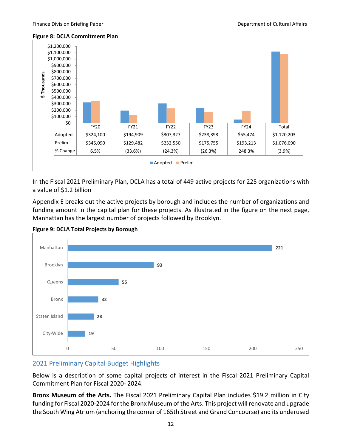#### **Figure 8: DCLA Commitment Plan**



In the Fiscal 2021 Preliminary Plan, DCLA has a total of 449 active projects for 225 organizations with a value of \$1.2 billion

Appendix E breaks out the active projects by borough and includes the number of organizations and funding amount in the capital plan for these projects. As illustrated in the figure on the next page, Manhattan has the largest number of projects followed by Brooklyn.





### <span id="page-13-0"></span>2021 Preliminary Capital Budget Highlights

Below is a description of some capital projects of interest in the Fiscal 2021 Preliminary Capital Commitment Plan for Fiscal 2020- 2024.

**Bronx Museum of the Arts.** The Fiscal 2021 Preliminary Capital Plan includes \$19.2 million in City funding for Fiscal 2020-2024 for the Bronx Museum of the Arts. This project will renovate and upgrade the South Wing Atrium (anchoring the corner of 165th Street and Grand Concourse) and its underused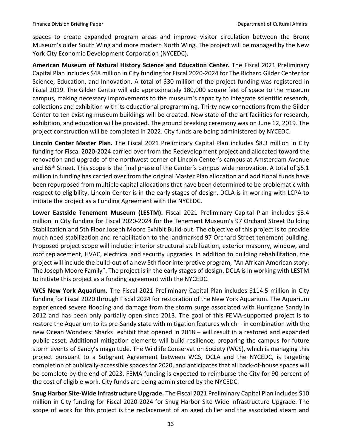spaces to create expanded program areas and improve visitor circulation between the Bronx Museum's older South Wing and more modern North Wing. The project will be managed by the New York City Economic Development Corporation (NYCEDC).

**American Museum of Natural History Science and Education Center.** The Fiscal 2021 Preliminary Capital Plan includes \$48 million in City funding for Fiscal 2020-2024 for The Richard Gilder Center for Science, Education, and Innovation. A total of \$30 million of the project funding was registered in Fiscal 2019. The Gilder Center will add approximately 180,000 square feet of space to the museum campus, making necessary improvements to the museum's capacity to integrate scientific research, collections and exhibition with its educational programming. Thirty new connections from the Gilder Center to ten existing museum buildings will be created. New state-of-the-art facilities for research, exhibition, and education will be provided. The ground breaking ceremony was on June 12, 2019. The project construction will be completed in 2022. City funds are being administered by NYCEDC.

**Lincoln Center Master Plan.** The Fiscal 2021 Preliminary Capital Plan includes \$8.3 million in City funding for Fiscal 2020-2024 carried over from the Redevelopment project and allocated toward the renovation and upgrade of the northwest corner of Lincoln Center's campus at Amsterdam Avenue and 65<sup>th</sup> Street. This scope is the final phase of the Center's campus wide renovation. A total of \$5.1 million in funding has carried over from the original Master Plan allocation and additional funds have been repurposed from multiple capital allocations that have been determined to be problematic with respect to eligibility. Lincoln Center is in the early stages of design. DCLA is in working with LCPA to initiate the project as a Funding Agreement with the NYCEDC.

**Lower Eastside Tenement Museum (LESTM).** Fiscal 2021 Preliminary Capital Plan includes \$3.4 million in City funding for Fiscal 2020-2024 for the Tenement Museum's 97 Orchard Street Building Stabilization and 5th Floor Joseph Moore Exhibit Build-out. The objective of this project is to provide much need stabilization and rehabilitation to the landmarked 97 Orchard Street tenement building. Proposed project scope will include: interior structural stabilization, exterior masonry, window, and roof replacement, HVAC, electrical and security upgrades. In addition to building rehabilitation, the project will include the build-out of a new 5th floor interpretive program; "An African American story: The Joseph Moore Family". The project is in the early stages of design. DCLA is in working with LESTM to initiate this project as a funding agreement with the NYCEDC.

**WCS New York Aquarium.** The Fiscal 2021 Preliminary Capital Plan includes \$114.5 million in City funding for Fiscal 2020 through Fiscal 2024 for restoration of the New York Aquarium. The Aquarium experienced severe flooding and damage from the storm surge associated with Hurricane Sandy in 2012 and has been only partially open since 2013. The goal of this FEMA-supported project is to restore the Aquarium to its pre-Sandy state with mitigation features which – in combination with the new Ocean Wonders: Sharks! exhibit that opened in 2018 – will result in a restored and expanded public asset. Additional mitigation elements will build resilience, preparing the campus for future storm events of Sandy's magnitude. The Wildlife Conservation Society (WCS), which is managing this project pursuant to a Subgrant Agreement between WCS, DCLA and the NYCEDC, is targeting completion of publically-accessible spaces for 2020, and anticipates that all back-of-house spaces will be complete by the end of 2023. FEMA funding is expected to reimburse the City for 90 percent of the cost of eligible work. City funds are being administered by the NYCEDC.

**Snug Harbor Site-Wide Infrastructure Upgrade.** The Fiscal 2021 Preliminary Capital Plan includes \$10 million in City funding for Fiscal 2020-2024 for Snug Harbor Site-Wide Infrastructure Upgrade. The scope of work for this project is the replacement of an aged chiller and the associated steam and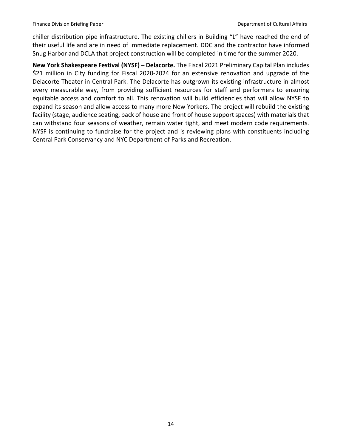chiller distribution pipe infrastructure. The existing chillers in Building "L" have reached the end of their useful life and are in need of immediate replacement. DDC and the contractor have informed Snug Harbor and DCLA that project construction will be completed in time for the summer 2020.

**New York Shakespeare Festival (NYSF) – Delacorte.** The Fiscal 2021 Preliminary Capital Plan includes \$21 million in City funding for Fiscal 2020-2024 for an extensive renovation and upgrade of the Delacorte Theater in Central Park. The Delacorte has outgrown its existing infrastructure in almost every measurable way, from providing sufficient resources for staff and performers to ensuring equitable access and comfort to all. This renovation will build efficiencies that will allow NYSF to expand its season and allow access to many more New Yorkers. The project will rebuild the existing facility (stage, audience seating, back of house and front of house support spaces) with materials that can withstand four seasons of weather, remain water tight, and meet modern code requirements. NYSF is continuing to fundraise for the project and is reviewing plans with constituents including Central Park Conservancy and NYC Department of Parks and Recreation.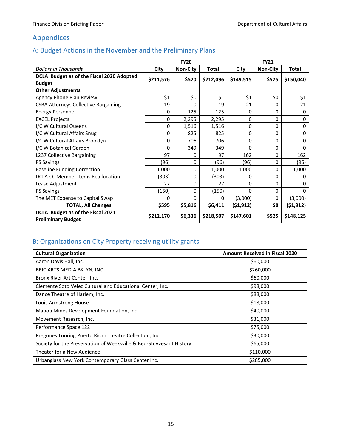# <span id="page-16-0"></span>Appendices

# <span id="page-16-1"></span>A: Budget Actions in the November and the Preliminary Plans

|                                             | <b>FY20</b> |                 |              | <b>FY21</b> |                 |           |  |
|---------------------------------------------|-------------|-----------------|--------------|-------------|-----------------|-----------|--|
| <b>Dollars in Thousands</b>                 | City        | <b>Non-City</b> | <b>Total</b> | City        | <b>Non-City</b> | Total     |  |
| DCLA Budget as of the Fiscal 2020 Adopted   | \$211,576   | \$520           | \$212,096    | \$149,515   | \$525           | \$150,040 |  |
| <b>Budget</b>                               |             |                 |              |             |                 |           |  |
| <b>Other Adjustments</b>                    |             |                 |              |             |                 |           |  |
| Agency Phone Plan Review                    | \$1         | \$0             | \$1          | \$1         | \$0             | \$1       |  |
| <b>CSBA Attorneys Collective Bargaining</b> | 19          | 0               | 19           | 21          | 0               | 21        |  |
| <b>Energy Personnel</b>                     | 0           | 125             | 125          | 0           | 0               | 0         |  |
| <b>EXCEL Projects</b>                       | 0           | 2,295           | 2,295        | 0           | 0               | 0         |  |
| I/C W Cultural Queens                       | 0           | 1,516           | 1,516        | 0           | 0               | $\Omega$  |  |
| I/C W Cultural Affairs Snug                 | 0           | 825             | 825          | 0           | $\Omega$        | 0         |  |
| I/C W Cultural Affairs Brooklyn             | 0           | 706             | 706          | 0           | $\Omega$        | 0         |  |
| I/C W Botanical Garden                      | 0           | 349             | 349          | $\Omega$    | $\Omega$        | $\Omega$  |  |
| L237 Collective Bargaining                  | 97          | 0               | 97           | 162         | 0               | 162       |  |
| <b>PS Savings</b>                           | (96)        | 0               | (96)         | (96)        | 0               | (96)      |  |
| <b>Baseline Funding Correction</b>          | 1,000       | $\Omega$        | 1,000        | 1,000       | 0               | 1,000     |  |
| DCLA CC Member Items Reallocation           | (303)       | 0               | (303)        | 0           | 0               | 0         |  |
| Lease Adjustment                            | 27          | 0               | 27           | 0           | $\Omega$        | $\Omega$  |  |
| <b>PS Savings</b>                           | (150)       | 0               | (150)        | 0           | 0               | $\Omega$  |  |
| The MET Expense to Capital Swap             | 0           | $\Omega$        | $\Omega$     | (3,000)     | 0               | (3,000)   |  |
| <b>TOTAL, All Changes</b>                   | \$595       | \$5,816         | \$6,411      | (51, 912)   | \$0             | (\$1,912) |  |
| DCLA Budget as of the Fiscal 2021           | \$212,170   | \$6,336         | \$218,507    | \$147,601   | \$525           | \$148,125 |  |
| <b>Preliminary Budget</b>                   |             |                 |              |             |                 |           |  |

# <span id="page-16-2"></span>B: Organizations on City Property receiving utility grants

| <b>Cultural Organization</b>                                        | <b>Amount Received in Fiscal 2020</b> |
|---------------------------------------------------------------------|---------------------------------------|
| Aaron Davis Hall, Inc.                                              | \$60,000                              |
| BRIC ARTS MEDIA BKLYN, INC.                                         | \$260,000                             |
| Bronx River Art Center, Inc.                                        | \$60,000                              |
| Clemente Soto Velez Cultural and Educational Center, Inc.           | \$98,000                              |
| Dance Theatre of Harlem, Inc.                                       | \$88,000                              |
| Louis Armstrong House                                               | \$18,000                              |
| Mabou Mines Development Foundation, Inc.                            | \$40,000                              |
| Movement Research, Inc.                                             | \$31,000                              |
| Performance Space 122                                               | \$75,000                              |
| Pregones Touring Puerto Rican Theatre Collection, Inc.              | \$30,000                              |
| Society for the Preservation of Weeksville & Bed-Stuyvesant History | \$65,000                              |
| Theater for a New Audience                                          | \$110,000                             |
| Urbanglass New York Contemporary Glass Center Inc.                  | \$285,000                             |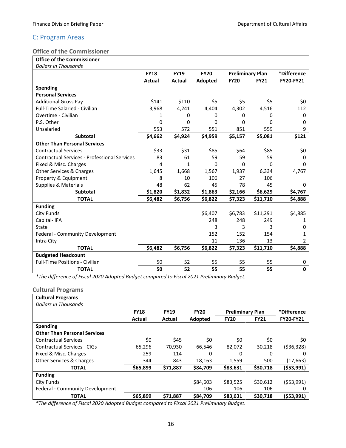### <span id="page-17-0"></span>C: Program Areas

### <span id="page-17-1"></span>**Office of the Commissioner**

|  |  | <b>Office of the Commissioner</b> |
|--|--|-----------------------------------|
|  |  |                                   |

| <b>Dollars in Thousands</b>                         |             |             |             |                         |             |                  |
|-----------------------------------------------------|-------------|-------------|-------------|-------------------------|-------------|------------------|
|                                                     | <b>FY18</b> | <b>FY19</b> | <b>FY20</b> | <b>Preliminary Plan</b> |             | *Difference      |
|                                                     | Actual      | Actual      | Adopted     | <b>FY20</b>             | <b>FY21</b> | <b>FY20-FY21</b> |
| <b>Spending</b>                                     |             |             |             |                         |             |                  |
| <b>Personal Services</b>                            |             |             |             |                         |             |                  |
| <b>Additional Gross Pay</b>                         | \$141       | \$110       | \$5         | \$5                     | \$5         | \$0              |
| <b>Full-Time Salaried - Civilian</b>                | 3,968       | 4,241       | 4,404       | 4,302                   | 4,516       | 112              |
| Overtime - Civilian                                 | 1           | 0           | 0           | 0                       | 0           | 0                |
| P.S. Other                                          | 0           | 0           | 0           | 0                       | 0           | 0                |
| Unsalaried                                          | 553         | 572         | 551         | 851                     | 559         | 9                |
| <b>Subtotal</b>                                     | \$4,662     | \$4,924     | \$4,959     | \$5,157                 | \$5,081     | \$121            |
| <b>Other Than Personal Services</b>                 |             |             |             |                         |             |                  |
| <b>Contractual Services</b>                         | \$33        | \$31        | \$85        | \$64                    | \$85        | \$0              |
| <b>Contractual Services - Professional Services</b> | 83          | 61          | 59          | 59                      | 59          | 0                |
| Fixed & Misc. Charges                               | 4           | 1           | 0           | $\Omega$                | 0           | 0                |
| Other Services & Charges                            | 1,645       | 1,668       | 1,567       | 1,937                   | 6,334       | 4,767            |
| Property & Equipment                                | 8           | 10          | 106         | 27                      | 106         |                  |
| <b>Supplies &amp; Materials</b>                     | 48          | 62          | 45          | 78                      | 45          | 0                |
| <b>Subtotal</b>                                     | \$1,820     | \$1,832     | \$1,863     | \$2,166                 | \$6,629     | \$4,767          |
| <b>TOTAL</b>                                        | \$6,482     | \$6,756     | \$6,822     | \$7,323                 | \$11,710    | \$4,888          |
| <b>Funding</b>                                      |             |             |             |                         |             |                  |
| City Funds                                          |             |             | \$6,407     | \$6,783                 | \$11,291    | \$4,885          |
| Capital-IFA                                         |             |             | 248         | 248                     | 249         | 1                |
| <b>State</b>                                        |             |             | 3           | 3                       | 3           | 0                |
| Federal - Community Development                     |             |             | 152         | 152                     | 154         | 1                |
| Intra City                                          |             |             | 11          | 136                     | 13          | 2                |
| <b>TOTAL</b>                                        | \$6,482     | \$6,756     | \$6,822     | \$7,323                 | \$11,710    | \$4,888          |
| <b>Budgeted Headcount</b>                           |             |             |             |                         |             |                  |
| <b>Full-Time Positions - Civilian</b>               | 50          | 52          | 55          | 55                      | 55          | 0                |
| <b>TOTAL</b>                                        | 50          | 52          | 55          | 55                      | 55          | $\mathbf 0$      |

*\*The difference of Fiscal 2020 Adopted Budget compared to Fiscal 2021 Preliminary Budget.*

### <span id="page-17-2"></span>**Cultural Programs**

| <b>Cultural Programs</b>            |             |             |             |                         |             |                  |
|-------------------------------------|-------------|-------------|-------------|-------------------------|-------------|------------------|
| Dollars in Thousands                |             |             |             |                         |             |                  |
|                                     | <b>FY18</b> | <b>FY19</b> | <b>FY20</b> | <b>Preliminary Plan</b> |             | *Difference      |
|                                     | Actual      | Actual      | Adopted     | <b>FY20</b>             | <b>FY21</b> | <b>FY20-FY21</b> |
| <b>Spending</b>                     |             |             |             |                         |             |                  |
| <b>Other Than Personal Services</b> |             |             |             |                         |             |                  |
| <b>Contractual Services</b>         | \$0         | \$45        | \$0         | \$0                     | \$0         | \$0              |
| <b>Contractual Services - CIGs</b>  | 65,296      | 70,930      | 66,546      | 82,072                  | 30,218      | ( \$36, 328)     |
| Fixed & Misc. Charges               | 259         | 114         | 0           | 0                       | 0           | Ω                |
| <b>Other Services &amp; Charges</b> | 344         | 843         | 18,163      | 1,559                   | 500         | (17, 663)        |
| <b>TOTAL</b>                        | \$65,899    | \$71,887    | \$84,709    | \$83,631                | \$30,718    | ( \$53,991)      |
| <b>Funding</b>                      |             |             |             |                         |             |                  |
| City Funds                          |             |             | \$84,603    | \$83,525                | \$30,612    | ( \$53,991)      |
| Federal - Community Development     |             |             | 106         | 106                     | 106         | 0                |
| <b>TOTAL</b>                        | \$65,899    | \$71.887    | \$84.709    | \$83.631                | \$30.718    | (553,991)        |

*\*The difference of Fiscal 2020 Adopted Budget compared to Fiscal 2021 Preliminary Budget.*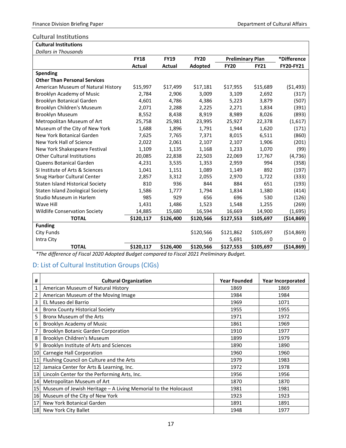### <span id="page-18-0"></span>**Cultural Institutions**

| <b>Cultural Institutions</b>            |             |             |             |                            |           |                  |  |
|-----------------------------------------|-------------|-------------|-------------|----------------------------|-----------|------------------|--|
| <b>Dollars in Thousands</b>             |             |             |             |                            |           |                  |  |
|                                         | <b>FY18</b> | <b>FY19</b> | <b>FY20</b> | <b>Preliminary Plan</b>    |           | *Difference      |  |
|                                         | Actual      | Actual      | Adopted     | <b>FY20</b><br><b>FY21</b> |           | <b>FY20-FY21</b> |  |
| Spending                                |             |             |             |                            |           |                  |  |
| <b>Other Than Personal Services</b>     |             |             |             |                            |           |                  |  |
| American Museum of Natural History      | \$15,997    | \$17,499    | \$17,181    | \$17,955                   | \$15,689  | (51, 493)        |  |
| Brooklyn Academy of Music               | 2,784       | 2,906       | 3,009       | 3,109                      | 2,692     | (317)            |  |
| Brooklyn Botanical Garden               | 4,601       | 4,786       | 4,386       | 5,223                      | 3,879     | (507)            |  |
| Brooklyn Children's Museum              | 2,071       | 2,288       | 2,225       | 2,271                      | 1,834     | (391)            |  |
| <b>Brooklyn Museum</b>                  | 8,552       | 8,438       | 8,919       | 8,989                      | 8,026     | (893)            |  |
| Metropolitan Museum of Art              | 25,758      | 25,981      | 23,995      | 25,927                     | 22,378    | (1,617)          |  |
| Museum of the City of New York          | 1,688       | 1,896       | 1,791       | 1,944                      | 1,620     | (171)            |  |
| New York Botanical Garden               | 7,625       | 7,765       | 7,371       | 8,015                      | 6,511     | (860)            |  |
| New York Hall of Science                | 2,022       | 2,061       | 2,107       | 2,107                      | 1,906     | (201)            |  |
| New York Shakespeare Festival           | 1,109       | 1,135       | 1,168       | 1,233                      | 1,070     | (99)             |  |
| <b>Other Cultural Institutions</b>      | 20,085      | 22,838      | 22,503      | 22,069                     | 17,767    | (4, 736)         |  |
| Queens Botanical Garden                 | 4,231       | 3,535       | 1,353       | 2,959                      | 994       | (358)            |  |
| SI Institute of Arts & Sciences         | 1,041       | 1,151       | 1,089       | 1,149                      | 892       | (197)            |  |
| Snug Harbor Cultural Center             | 2,857       | 3,312       | 2,055       | 2,970                      | 1,722     | (333)            |  |
| <b>Staten Island Historical Society</b> | 810         | 936         | 844         | 884                        | 651       | (193)            |  |
| Staten Island Zoological Society        | 1,586       | 1,777       | 1,794       | 1,834                      | 1,380     | (414)            |  |
| Studio Museum in Harlem                 | 985         | 929         | 656         | 696                        | 530       | (126)            |  |
| Wave Hill                               | 1,431       | 1,486       | 1,523       | 1,548                      | 1,255     | (269)            |  |
| <b>Wildlife Conservation Society</b>    | 14,885      | 15,680      | 16,594      | 16,669                     | 14,900    | (1,695)          |  |
| <b>TOTAL</b>                            | \$120,117   | \$126,400   | \$120,566   | \$127,553                  | \$105,697 | ( \$14, 869)     |  |
| <b>Funding</b>                          |             |             |             |                            |           |                  |  |
| City Funds                              |             |             | \$120,566   | \$121,862                  | \$105,697 | ( \$14, 869)     |  |
| Intra City                              |             |             | 0           | 5,691                      | 0         | 0                |  |
| <b>TOTAL</b>                            | \$120,117   | \$126,400   | \$120,566   | \$127,553                  | \$105,697 | ( \$14, 869)     |  |

*\*The difference of Fiscal 2020 Adopted Budget compared to Fiscal 2021 Preliminary Budget.*

### <span id="page-18-1"></span>D: List of Cultural Institution Groups (CIGs)

| #  | <b>Cultural Organization</b>                                   | <b>Year Founded</b> | <b>Year Incorporated</b> |
|----|----------------------------------------------------------------|---------------------|--------------------------|
| 1  | American Museum of Natural History                             | 1869                | 1869                     |
| 2  | American Museum of the Moving Image                            | 1984                | 1984                     |
| 3  | EL Museo del Barrio                                            | 1969                | 1071                     |
| 4  | <b>Bronx County Historical Society</b>                         | 1955                | 1955                     |
| 5  | Bronx Museum of the Arts                                       | 1971                | 1972                     |
| 6  | Brooklyn Academy of Music                                      | 1861                | 1969                     |
| 7  | Brooklyn Botanic Garden Corporation                            | 1910                | 1977                     |
| 8  | Brooklyn Children's Museum                                     | 1899                | 1979                     |
| 9  | Brooklyn Institute of Arts and Sciences                        | 1890                | 1890                     |
| 10 | Carnegie Hall Corporation                                      | 1960                | 1960                     |
| 11 | Flushing Council on Culture and the Arts                       | 1979                | 1983                     |
| 12 | Jamaica Center for Arts & Learning, Inc.                       | 1972                | 1978                     |
| 13 | Lincoln Center for the Performing Arts, Inc.                   | 1956                | 1956                     |
| 14 | Metropolitan Museum of Art                                     | 1870                | 1870                     |
| 15 | Museum of Jewish Heritage - A Living Memorial to the Holocaust | 1981                | 1981                     |
| 16 | Museum of the City of New York                                 | 1923                | 1923                     |
| 17 | New York Botanical Garden                                      | 1891                | 1891                     |
|    | 18 New York City Ballet                                        | 1948                | 1977                     |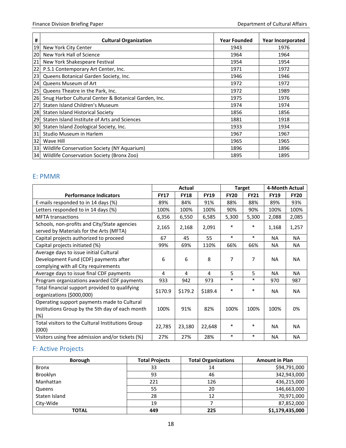| #  | <b>Cultural Organization</b>                         | <b>Year Founded</b> | <b>Year Incorporated</b> |
|----|------------------------------------------------------|---------------------|--------------------------|
| 19 | New York City Center                                 | 1943                | 1976                     |
| 20 | New York Hall of Science                             | 1964                | 1964                     |
| 21 | New York Shakespeare Festival                        | 1954                | 1954                     |
| 22 | P.S.1 Contemporary Art Center, Inc.                  | 1971                | 1972                     |
| 23 | Queens Botanical Garden Society, Inc.                | 1946                | 1946                     |
| 24 | Queens Museum of Art                                 | 1972                | 1972                     |
| 25 | Queens Theatre in the Park, Inc.                     | 1972                | 1989                     |
| 26 | Snug Harbor Cultural Center & Botanical Garden, Inc. | 1975                | 1976                     |
| 27 | Staten Island Children's Museum                      | 1974                | 1974                     |
| 28 | Staten Island Historical Society                     | 1856                | 1856                     |
| 29 | Staten Island Institute of Arts and Sciences         | 1881                | 1918                     |
| 30 | Staten Island Zoological Society, Inc.               | 1933                | 1934                     |
| 31 | Studio Museum in Harlem                              | 1967                | 1967                     |
| 32 | Wave Hill                                            | 1965                | 1965                     |
| 33 | Wildlife Conservation Society (NY Aquarium)          | 1896                | 1896                     |
| 34 | Wildlife Conservation Society (Bronx Zoo)            | 1895                | 1895                     |

### <span id="page-19-0"></span>E: PMMR

|                                                                                                                         | Actual      |             | <b>Target</b> |             | 4-Month Actual |             |             |
|-------------------------------------------------------------------------------------------------------------------------|-------------|-------------|---------------|-------------|----------------|-------------|-------------|
| <b>Performance Indicators</b>                                                                                           | <b>FY17</b> | <b>FY18</b> | <b>FY19</b>   | <b>FY20</b> | <b>FY21</b>    | <b>FY19</b> | <b>FY20</b> |
| E-mails responded to in 14 days (%)                                                                                     | 89%         | 84%         | 91%           | 88%         | 88%            | 89%         | 93%         |
| Letters responded to in 14 days (%)                                                                                     | 100%        | 100%        | 100%          | 90%         | 90%            | 100%        | 100%        |
| <b>MFTA transactions</b>                                                                                                | 6,356       | 6,550       | 6,585         | 5,300       | 5,300          | 2,088       | 2,085       |
| Schools, non-profits and City/State agencies<br>served by Materials for the Arts (MFTA)                                 | 2,165       | 2,168       | 2,091         | $\ast$      | *              | 1,168       | 1,257       |
| Capital projects authorized to proceed                                                                                  | 67          | 45          | 55            | $\ast$      | $\ast$         | <b>NA</b>   | <b>NA</b>   |
| Capital projects initiated (%)                                                                                          | 99%         | 69%         | 110%          | 66%         | 66%            | <b>NA</b>   | <b>NA</b>   |
| Average days to issue initial Cultural<br>Development Fund (CDF) payments after<br>complying with all City requirements | 6           | 6           | 8             | 7           | 7              | <b>NA</b>   | NA          |
| Average days to issue final CDF payments                                                                                | 4           | 4           | 4             | 5           | 5              | <b>NA</b>   | <b>NA</b>   |
| Program organizations awarded CDF payments                                                                              | 933         | 942         | 973           | $\ast$      | $\ast$         | 970         | 987         |
| Total financial support provided to qualifying<br>organizations (\$000,000)                                             | \$170.9     | \$179.2     | \$189.4       | $\ast$      | *              | <b>NA</b>   | <b>NA</b>   |
| Operating support payments made to Cultural<br>Institutions Group by the 5th day of each month<br>(%)                   | 100%        | 91%         | 82%           | 100%        | 100%           | 100%        | 0%          |
| Total visitors to the Cultural Institutions Group<br>(000)                                                              | 22,785      | 23,180      | 22,648        | *           | *              | <b>NA</b>   | <b>NA</b>   |
| Visitors using free admission and/or tickets (%)                                                                        | 27%         | 27%         | 28%           | $\ast$      | $\ast$         | <b>NA</b>   | <b>NA</b>   |

## <span id="page-19-1"></span>F: Active Projects

| <b>Borough</b> | <b>Total Projects</b> | <b>Total Organizations</b> | <b>Amount in Plan</b> |
|----------------|-----------------------|----------------------------|-----------------------|
| <b>Bronx</b>   | 33                    | 14                         | \$94,791,000          |
| Brooklyn       | 93                    | 46                         | 342,943,000           |
| Manhattan      | 221                   | 126                        | 436,215,000           |
| Queens         | 55                    | 20                         | 146,663,000           |
| Staten Island  | 28                    | 12                         | 70,971,000            |
| City-Wide      | 19                    |                            | 87,852,000            |
| <b>TOTAL</b>   | 449                   | 225                        | \$1,179,435,000       |